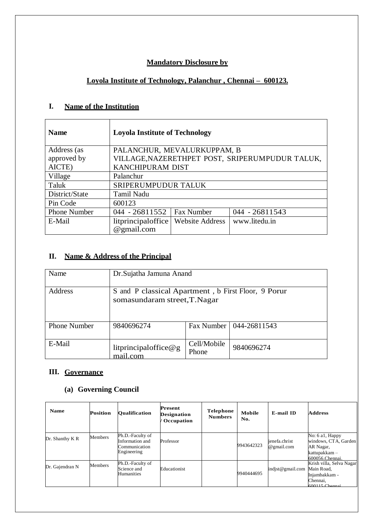### **Mandatory Disclosure by**

# **Loyola Institute of Technology, Palanchur , Chennai – 600123.**

## **I. Name of the Institution**

| <b>Name</b>         | <b>Loyola Institute of Technology</b> |                        |                                                 |
|---------------------|---------------------------------------|------------------------|-------------------------------------------------|
| Address (as         | PALANCHUR, MEVALURKUPPAM, B           |                        |                                                 |
| approved by         |                                       |                        | VILLAGE, NAZERETHPET POST, SRIPERUMPUDUR TALUK, |
| AICTE)              | <b>KANCHIPURAM DIST</b>               |                        |                                                 |
| Village             | Palanchur                             |                        |                                                 |
| Taluk               | SRIPERUMPUDUR TALUK                   |                        |                                                 |
| District/State      | <b>Tamil Nadu</b>                     |                        |                                                 |
| Pin Code            | 600123                                |                        |                                                 |
| <b>Phone Number</b> | $044 - 26811552$                      | <b>Fax Number</b>      | $044 - 26811543$                                |
| E-Mail              | $l$ itprincipaloffice                 | <b>Website Address</b> | www.litedu.in                                   |
|                     | @gmail.com                            |                        |                                                 |

## **II. Name & Address of the Principal**

| Name                | Dr. Sujatha Jamuna Anand                                                            |                      |                           |  |  |  |  |
|---------------------|-------------------------------------------------------------------------------------|----------------------|---------------------------|--|--|--|--|
| Address             | S and P classical Apartment, b First Floor, 9 Porur<br>somasundaram street, T.Nagar |                      |                           |  |  |  |  |
| <b>Phone Number</b> | 9840696274                                                                          |                      | Fax Number   044-26811543 |  |  |  |  |
| E-Mail              | litprincipaloffice@g<br>mail.com                                                    | Cell/Mobile<br>Phone | 9840696274                |  |  |  |  |

### **III. Governance**

## **(a) Governing Council**

| <b>Name</b>     | Position | <b>Oualification</b>                                                | Present<br><b>Designation</b><br>Occupation | Telephone<br><b>Numbers</b> | Mobile<br>No. | E-mail ID                   | <b>Address</b>                                                                           |
|-----------------|----------|---------------------------------------------------------------------|---------------------------------------------|-----------------------------|---------------|-----------------------------|------------------------------------------------------------------------------------------|
| Dr. Shanthy K R | Members  | Ph.D.-Faculty of<br>Information and<br>Communication<br>Engineering | Professor                                   |                             | 9943642323    | ienefa.christ<br>@gmail.com | No: 6 a1, Happy<br>windows, CTA, Garden<br>AR Nagar,<br>kattupakkam –<br>600056.Chennai. |
| Dr. Gajendran N | Members  | Ph.D.-Faculty of<br>Science and<br>Humanities                       | Educationist                                |                             | 9940444695    | indist@gmail.com            | Krish villa, Selva Nagar<br>Main Road,<br>Injambakkam -<br>Chennai.<br>$600115$ Channai  |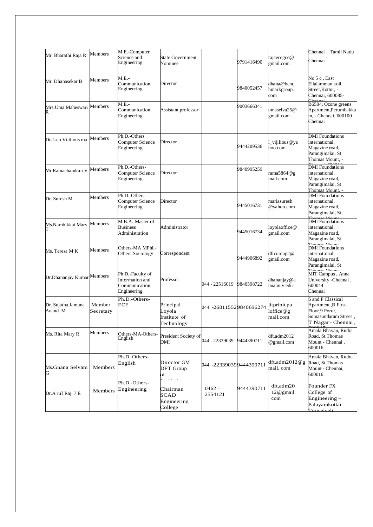|                               | Members             | M.E.-Computer                                                       |                                                   |                             |            |                                      | Chennai – Tamil Nadu                                                                                     |
|-------------------------------|---------------------|---------------------------------------------------------------------|---------------------------------------------------|-----------------------------|------------|--------------------------------------|----------------------------------------------------------------------------------------------------------|
| Mr. Bharathi Raja R           |                     | Science and<br>Engineering                                          | <b>State Government</b><br>Nominee                |                             | 9791416490 | rajaecegce@<br>gmail.com             | Chennai                                                                                                  |
| Mr. Dhanasekar B              | Members             | M.E.-<br>Communication<br>Engineering                               | Director                                          |                             | 9840052457 | dhana@benc<br>hmarkgroup.<br>com     | No 5 c, East<br>Ellaiamman koil<br>Street, Kottur, -<br>Chennai, 600085-<br>Chonn                        |
| Mrs.Uma Maheswari             | Members             | $M.E.-$<br>Communication<br>Engineering                             | Assistant professor                               |                             | 9003666341 | umaselva25@<br>gmail.com             | B6504, Ozone greens<br>Apartment, Perumbakka<br>m, - Chennai, 600100<br>Chennai                          |
| Dr. Leo Vijilious ma          | Members             | Ph.D.-Others<br>Computer Science<br>Engineering                     | Director                                          |                             | 9444209536 | _vijilious@ya<br>hoo.com             | <b>DMI</b> Foundations<br>international,<br>Magazine road,<br>Parangimalai, St<br>Thomas Mount, -        |
| Mr.Ramachandran V             | Members             | Ph.D.-Others-<br>Computer Science<br>Engineering                    | Director                                          |                             | 9840995259 | rama5864@g<br>mail.com               | <b>DMI</b> Foundations<br>international,<br>Magazine road,<br>Parangimalai, St<br>Thomas Mount, -        |
| Dr. Suresh M                  | Members             | Ph.D.-Others<br>Computer Science<br>Engineering                     | Director                                          |                             | 9445016731 | mariasuresh<br>@yahoo.com            | <b>DMI</b> Foundations<br>international,<br>Magazine road,<br>Parangimalai, St<br>Thomas Mount           |
| Ms.Nambikkai Mary             | Members             | M.B.A.-Master of<br><b>Business</b><br>Administration               | Administrator                                     |                             | 9445016734 | loyolaoffice@<br>gmail.com           | <b>DMI</b> Foundations<br>international,<br>Magazine road,<br>Parangimalai, St<br>Thomas Mount           |
| Ms. Teresa M K                | Members             | Others-MA MPhil-<br>Others-Sociology                                | Correspondent                                     |                             | 9444906892 | dftcoreng2@<br>gmail.com             | <b>DMI</b> Foundations<br>international,<br>Magazine road,<br>Parangimalai, St<br>Thomas Mount           |
| Dr.Dhananjay Kumar Members    |                     | Ph.D.-Faculty of<br>Information and<br>Communication<br>Engineering | Professor                                         | 044 - 22516019              | 9840598722 | dhananjay@a<br>nnauniv.edu           | MIT Campus, Anna<br>University - Chennai,<br>600044<br>Chennai                                           |
| Dr. Sujatha Jamuna<br>Anand M | Member<br>Secretary | Ph.D.-Others-<br><b>ECE</b>                                         | Principal<br>Loyola<br>Institute of<br>Technology | 044 -268115529840696274     |            | litprinicpa<br>loffice@g<br>mail.com | S and P Classical<br>Apartment, B First<br>Floor, 9 Porur,<br>Somasundaram Street,<br>T Nagar - Chennai, |
| Ms. Rita Mary R               | Members             | Others-MA-Others-<br>English                                        | President Society of<br>DMI                       | 044 - 22339039   9444390711 |            | dft.adm2012<br>@gmail.com            | Amala Bhavan, Rudra<br>Road, St.Thomas<br>Mount - Chennai,<br>600016.                                    |
| Ms.Gnana Selvam<br>G          | Members             | Ph.D. Others-<br>English                                            | Director GM<br>DFT Group<br>of                    | 044 -22339039 9444390711    |            | dft.adm2012@g<br>mail. com           | Amala Bhavan, Rudra<br>Road, St.Thomas<br>Mount - Chennai,<br>600016.                                    |
| Dr.Arul Raj J E               | Members             | Ph.D.-Others-<br>Engineering                                        | Chairman<br><b>SCAD</b><br>Engineering<br>College | $0462 -$<br>2554121         | 9444390711 | dft.adm20<br>$12@$ gmail.<br>com     | Founder FX<br>College of<br>Engineering -<br>Palayamkottai<br>Tirunelveli                                |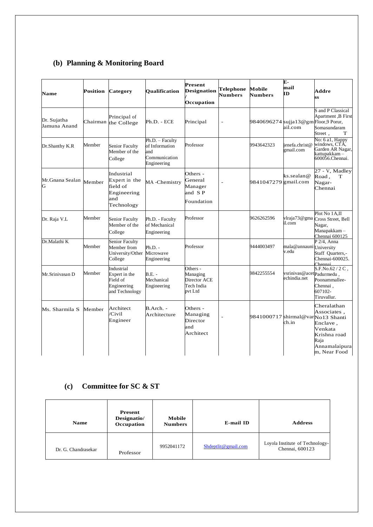# **(b) Planning & Monitoring Board**

| Name                        | Position | Category                                                                      | <b>Oualification</b>                                                     | <b>Present</b><br><b>Designation</b><br>Occupation            | <b>Telephone</b><br><b>Numbers</b> | Mobile<br><b>Numbers</b>            | Е-<br>mail<br>ĪD                         | Addre<br><b>SS</b>                                                                                         |
|-----------------------------|----------|-------------------------------------------------------------------------------|--------------------------------------------------------------------------|---------------------------------------------------------------|------------------------------------|-------------------------------------|------------------------------------------|------------------------------------------------------------------------------------------------------------|
| Dr. Sujatha<br>Jamuna Anand | Chairman | Principal of<br>the College                                                   | Ph.D. - ECE                                                              | Principal                                                     | $\overline{a}$                     | 9840696274 sujja13@gmFloor,9 Porur, | ail.com                                  | S and P Classical<br>Apartment , B First<br>Somasundaram<br>Street,<br>T                                   |
| Dr.Shanthy K.R              | Member   | <b>Senior Faculty</b><br>Member of the<br>College                             | Ph.D. - Faculty<br>of Information<br>and<br>Communication<br>Engineering | Professor                                                     |                                    | 9943642323                          | ienefa.christ@<br>gmail.com              | No: 6 a1, Happy<br>windows, CTA,<br>Garden AR Nagar,<br>kattupakkam –<br>600056.Chennai.                   |
| Mr.Gnana Sealan<br>G        | Member   | Industrial<br>Expert in the<br>field of<br>Engineering<br>and<br>Technology   | MA-Chemistry                                                             | Others -<br>General<br>Manager<br>and SP<br>Foundation        | L,                                 | 9841047279 gmail.com                | ks.sealan@                               | 27 - V, Madley<br>Road,<br>T<br>Nagar-<br>Chennai                                                          |
| Dr. Raja V.L                | Member   | <b>Senior Faculty</b><br>Member of the<br>College                             | Ph.D. - Faculty<br>of Mechanical<br>Engineering                          | Professor                                                     |                                    | 9626262596                          | il.com                                   | Plot No 1A.II<br>vlraja73@gma Cross Street, Bell<br>Nagar,<br>Manapakkam-<br>Chennai 600125                |
| Dr.Malathi K                | Member   | <b>Senior Faculty</b><br>Member from<br>University/Other Microwave<br>College | $Ph.D. -$<br>Engineering                                                 | Professor                                                     |                                    | 9444003497                          | mala@annauni University<br>v.edu         | $P$ 2/4, Anna<br>Staff Quarters,-<br>Chennai-600025.<br>Chennai                                            |
| Mr.Srinivasan D             | Member   | Industrial<br>Expert in the<br>Field of<br>Engineering<br>and Technology      | $B.E. -$<br>Mechanical<br>Engineering                                    | Others -<br>Managing<br>Director ACE<br>Tech India<br>pvt Ltd |                                    | 9842255554                          | vsrinivas@acetpadurmedu,<br>echindia.net | S.F.No.62 / 2 C,<br>Poonammallee-<br>Chennai,<br>607102-<br>Tiruvallur.                                    |
| Ms. Sharmila S              | Member   | Architect<br>Civil<br>Engineer                                                | $B.Arch. -$<br>Architecture                                              | Others -<br>Managing<br>Director<br>and<br>Architect          | $\overline{a}$                     | 9841000717 shirmal@varNo13 Shanti   | ch.in                                    | Cheralathan<br>Associates,<br>Enclave,<br>Venkata<br>Krishna road<br>Raja<br>Annamalaipura<br>m, Near Food |

## **(c) Committee for SC & ST**

| <b>Name</b>         | <b>Present</b><br>Designatio/<br>Occupation | Mobile<br><b>Numbers</b> | E-mail ID           | <b>Address</b>                                     |
|---------------------|---------------------------------------------|--------------------------|---------------------|----------------------------------------------------|
| Dr. G. Chandrasekar | Professor                                   | 9952041172               | Shdeptlit@gmail.com | Loyola Institute of Technology-<br>Chennai, 600123 |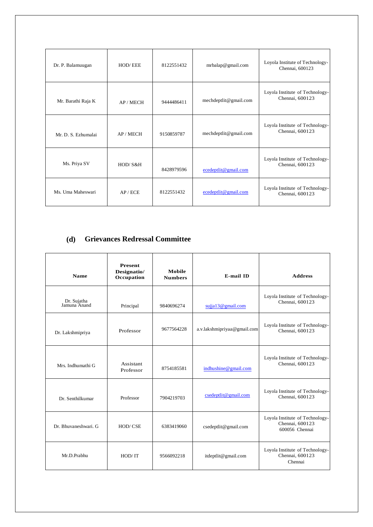| Dr. P. Balamuugan   | <b>HOD/EEE</b> | 8122551432 | mrbalap@gmail.com                   | Loyola Institute of Technology-<br>Chennai, 600123 |
|---------------------|----------------|------------|-------------------------------------|----------------------------------------------------|
| Mr. Barathi Raja K  | AP / MECH      | 9444486411 | mechdeptlit@gmail.com               | Loyola Institute of Technology-<br>Chennai, 600123 |
| Mr. D. S. Ezhumalai | AP / MECH      | 9150859787 | mechdeptlit@gmail.com               | Loyola Institute of Technology-<br>Chennai, 600123 |
| Ms. Priya SV        | HOD/S&H        | 8428979596 | ecedeptlit@gmail.com                | Loyola Institute of Technology-<br>Chennai, 600123 |
| Ms. Uma Maheswari   | AP/ECE         | 8122551432 | ${\rm eccdepth}$ $\omega$ gmail.com | Loyola Institute of Technology-<br>Chennai, 600123 |

## **(d) Grievances Redressal Committee**

| <b>Name</b>                 | <b>Present</b><br>Designatio/<br>Occupation | Mobile<br><b>Numbers</b> | E-mail ID                   | <b>Address</b>                                                       |
|-----------------------------|---------------------------------------------|--------------------------|-----------------------------|----------------------------------------------------------------------|
| Dr. Sujatha<br>Jamuna Anand | Principal                                   | 9840696274               | sujja13@gmail.com           | Loyola Institute of Technology-<br>Chennai, 600123                   |
| Dr. Lakshmipriya            | Professor                                   | 9677564228               | a.v.lakshmipriyaa@gmail.com | Loyola Institute of Technology-<br>Chennai, 600123                   |
| Mrs. Indhumathi G           | Assistant<br>Professor                      | 8754185581               | indhushine@gmail.com        | Loyola Institute of Technology-<br>Chennai, 600123                   |
| Dr. Senthilkumar            | Professor                                   | 7904219703               | $\cscdepth$ ( $@$ gmail.com | Loyola Institute of Technology-<br>Chennai, 600123                   |
| Dr. Bhuvaneshwari. G        | HOD/CSE                                     | 6383419060               | csedeptlit@gmail.com        | Loyola Institute of Technology-<br>Chennai, 600123<br>600056 Chennai |
| Mr.D.Prabhu                 | HOD/IT                                      | 9566092218               | itdeptlit@gmail.com         | Loyola Institute of Technology-<br>Chennai, 600123<br>Chennai        |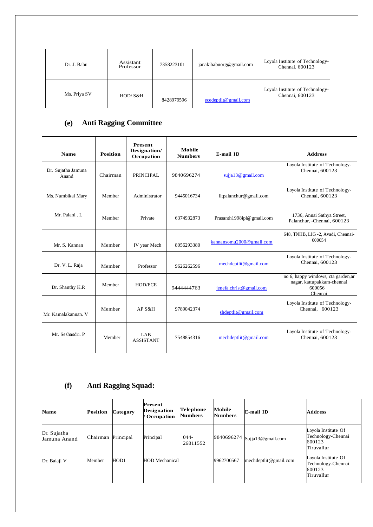| Dr. J. Babu  | Assistant<br>Professor | 7358223101 | janakibabuorg@gmail.com | Loyola Institute of Technology-<br>Chennai, 600123 |
|--------------|------------------------|------------|-------------------------|----------------------------------------------------|
| Ms. Priya SV | HOD/S&H                | 8428979596 | ecedeptlit@gmail.com    | Loyola Institute of Technology-<br>Chennai, 600123 |

# **(e) Anti Ragging Committee**

| <b>Name</b>                 | <b>Position</b> | <b>Present</b><br>Designation/<br>Occupation | <b>Mobile</b><br><b>Numbers</b> | E-mail ID                 | <b>Address</b>                                                                         |
|-----------------------------|-----------------|----------------------------------------------|---------------------------------|---------------------------|----------------------------------------------------------------------------------------|
| Dr. Sujatha Jamuna<br>Anand | Chairman        | PRINCIPAL                                    | 9840696274                      | sujja13@gmail.com         | Loyola Institute of Technology-<br>Chennai, 600123                                     |
| Ms. Nambikai Mary           | Member          | Administrator                                | 9445016734                      | litpalanchur@gmail.com    | Loyola Institute of Technology-<br>Chennai, 600123                                     |
| Mr. Palani . L              | Member          | Private                                      | 6374932873                      | Prasanth1998ipl@gmail.com | 1736, Annai Sathya Street,<br>Palanchur, -Chennai, 600123                              |
| Mr. S. Kannan               | Member          | IV year Mech                                 | 8056293380                      | kannansomu2000@gmail.com  | 648, TNHB, LIG -2, Avadi, Chennai-<br>600054                                           |
| Dr. V. L. Raja              | Member          | Professor                                    | 9626262596                      | mechdeptlit@gmail.com     | Loyola Institute of Technology-<br>Chennai, 600123                                     |
| Dr. Shanthy K.R             | Member          | <b>HOD/ECE</b>                               | 9444444763                      | jenefa.christ@gmail.com   | no 6, happy windows, cta garden, ar<br>nagar, kattupakkam-chennai<br>600056<br>Chennai |
| Mr. Kamalakannan. V         | Member          | AP S&H                                       | 9789042374                      | shdeptlit@gmail.com       | Loyola Institute of Technology-<br>Chennai, 600123                                     |
| Mr. Seshasdri, P            | Member          | LAB<br><b>ASSISTANT</b>                      | 7548854316                      | mechdeptlit@gmail.com     | Loyola Institute of Technology-<br>Chennai, 600123                                     |

## **(f) Anti Ragging Squad:**

| <b>Name</b>                 | <b>Position</b> | <b>Category</b> | Present<br><b>Designation</b><br>/ Occupation | <b>Telephone</b><br><b>Numbers</b> | Mobile<br><b>Numbers</b> | E-mail ID                    | <b>Address</b>                                                    |
|-----------------------------|-----------------|-----------------|-----------------------------------------------|------------------------------------|--------------------------|------------------------------|-------------------------------------------------------------------|
| Dr. Sujatha<br>Jamuna Anand | Chairman        | Principal       | Principal                                     | $044-$<br>26811552                 |                          | 9840696274 Sujja13@gmail.com | Loyola Institute Of<br>Technology-Chennai<br>600123<br>Tiruvallur |
| Dr. Balaji V                | Member          | HOD1            | <b>HOD</b> Mechanical                         |                                    | 9962700567               | mechdeptlit@gmail.com        | Loyola Institute Of<br>Technology-Chennai<br>600123<br>Tiruvallur |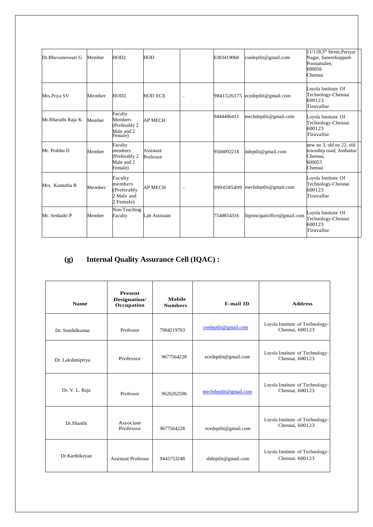| Dr.Bhuvaneswari G  | Member | HOD2                                                                | <b>HOD</b>             |                          | 6383419060 | csedeptlit@gmail.com            | 11/118,5 <sup>th</sup> Street, Periyar<br>Nagar, Saneerkuppam<br>Poonamalee,<br>600056<br>Chennai |
|--------------------|--------|---------------------------------------------------------------------|------------------------|--------------------------|------------|---------------------------------|---------------------------------------------------------------------------------------------------|
| Mrs.Priya SV       | Member | HOD2                                                                | <b>HOD ECE</b>         | $\overline{\phantom{a}}$ |            | 9841526375 ecedeptlit@gmail.com | Loyola Institute Of<br>Technology-Chennai<br>600123<br>Tiruvallur                                 |
| Mr.Bharathi Raja K | Member | Faculty<br><b>Members</b><br>(Preferably 2<br>Male and 2<br>Female) | <b>AP MECH</b>         |                          | 9444486411 | mechdeptlit@gmail.com           | Loyola Institute Of<br>Technology-Chennai<br>600123<br>Tiruvallur                                 |
| Mr. Prabhu D       | Member | Faculty<br>members<br>(Preferably 2<br>Male and 2<br>Female)        | Assistant<br>Professor |                          | 9566092218 | itdeptlit@gmail.com             | new no 3, old no 22, old<br>township road, Ambattur<br>Chennai.<br>600053<br>Chennai              |
| Mrs. Kumutha R     | Member | Faculty<br>members<br>(Preferably<br>2 Male and<br>2 Female)        | <b>AP MECH</b>         | $\sim$                   | 9994585499 | mechdeptlit@gmail.com           | Loyola Institute Of<br>Technology-Chennai<br>600123<br>Tiruvallur                                 |
| Mr. Seshadri P     | Member | Non-Teaching<br>Faculty                                             | Lab Assistant          |                          | 7548854316 | litprincipaloffice@gmail.com    | Loyola Institute Of<br>Technology-Chennai<br>600123<br>Tiruvallur                                 |

# **(g) Internal Quality Assurance Cell (IQAC) :**

| <b>Name</b>      | <b>Present</b><br>Designation/<br>Occupation | Mobile<br><b>Numbers</b> | E-mail ID             | <b>Address</b>                                     |
|------------------|----------------------------------------------|--------------------------|-----------------------|----------------------------------------------------|
| Dr. Senthilkumar | Professor                                    | 7904219703               | csedeptlit@gmail.com  | Loyola Institute of Technology-<br>Chennai, 600123 |
| Dr. Lakshmipriya | Professor                                    | 9677564228               | ecedeptlit@gmail.com  | Loyola Institute of Technology-<br>Chennai, 600123 |
| Dr. V. L. Raja   | Professor                                    | 9626262596               | mechdeptlit@gmail.com | Loyola Institute of Technology-<br>Chennai, 600123 |
| Dr.Shanthi       | Associate<br>Professor                       | 9677564228               | ecedeptlit@gmail.com  | Loyola Institute of Technology-<br>Chennai, 600123 |
| Dr.Karthikeyan   | <b>Assistant Professor</b>                   | 9445753248               | shdeptlit@gmail.com   | Loyola Institute of Technology-<br>Chennai, 600123 |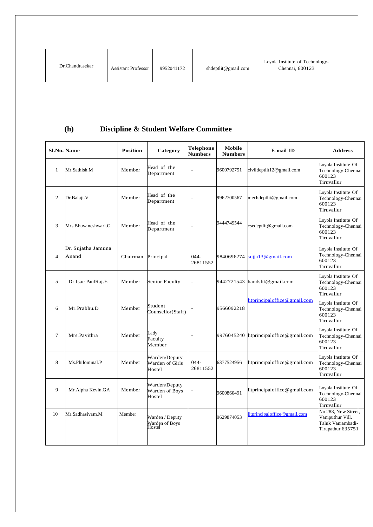| Dr.Chandrasekar | <b>Assistant Professor</b> | 9952041172 | shdeptlit@gmail.com | Loyola Institute of Technology-<br>Chennai, 600123 |
|-----------------|----------------------------|------------|---------------------|----------------------------------------------------|
|-----------------|----------------------------|------------|---------------------|----------------------------------------------------|

# **(h) Discipline & Student Welfare Committee**

| <b>Sl.No. Name</b> |                             | <b>Position</b> | Category                                    | Telephone<br><b>Numbers</b> | Mobile<br><b>Numbers</b> | E-mail ID                               | <b>Address</b>                                                                    |  |
|--------------------|-----------------------------|-----------------|---------------------------------------------|-----------------------------|--------------------------|-----------------------------------------|-----------------------------------------------------------------------------------|--|
| 1                  | Mr.Sathish.M                | Member          | Head of the<br>Department                   |                             | 9600792751               | civildeptlit12@gmail.com                | Loyola Institute Of<br>Technology-Chennai<br>600123<br>Tiruvallur                 |  |
| 2                  | Dr.Balaji.V                 | Member          | Head of the<br>Department                   | $\overline{\phantom{a}}$    | 9962700567               | mechdeptlit@gmail.com                   | Loyola Institute Of<br>Technology-Chennai<br>600123<br>Tiruvallur                 |  |
| 3                  | Mrs.Bhuvaneshwari.G         | Member          | Head of the<br>Department                   |                             | 9444749544               | csedeptlit@gmail.com                    | Loyola Institute Of<br>Technology-Chennai<br>600123<br>Tiruvallur                 |  |
| $\overline{4}$     | Dr. Sujatha Jamuna<br>Anand | Chairman        | Principal                                   | $044 -$<br>26811552         | 9840696274               | sujja13@gmail.com                       | Loyola Institute Of<br>Technology-Chennai<br>600123<br>Tiruvallur                 |  |
| 5                  | Dr.Isac PaulRaj.E           | Member          | Senior Faculty                              | L,                          |                          | 9442721543 handslit@gmail.com           | Loyola Institute Of<br>Technology-Chennai<br>600123<br>Tiruvallur                 |  |
| 6                  | Mr.Prabhu.D                 | Member          | Student<br>Counsellor(Staff)                |                             | 9566092218               | litprincipaloffice@gmail.com            | Loyola Institute Of<br>Technology-Chennai<br>600123<br>Tiruvallur                 |  |
| $\tau$             | Mrs.Pavithra                | Member          | Lady<br>Faculty<br>Member                   |                             |                          | 9976045240 litprincipaloffice@gmail.com | Loyola Institute Of<br>Technology-Chennai<br>600123<br>Tiruvallur                 |  |
| 8                  | Ms.Philominal.P             | Member          | Warden/Deputy<br>Warden of Girls<br>Hostel  | $044 -$<br>26811552         | 6377524956               | litprincipaloffice@gmail.com            | Loyola Institute Of<br>Technology-Chennai<br>600123<br>Tiruvallur                 |  |
| 9                  | Mr.Alpha Kevin.GA           | Member          | Warden/Deputy<br>Warden of Boys<br>Hostel   |                             | 9600860491               | litprincipaloffice@gmail.com            | Loyola Institute Of<br>Technology-Chennai<br>600123<br>Tiruvallur                 |  |
| 10                 | Mr.Sadhasiyam.M             | Member          | Warden / Deputy<br>Warden of Boys<br>Hostel |                             | 9629874053               | litprincipaloffice@gmail.com            | No 288, New Street.<br>Vaniputhur Vill.<br>Taluk Vaniambadi-<br>Tirupathur 635751 |  |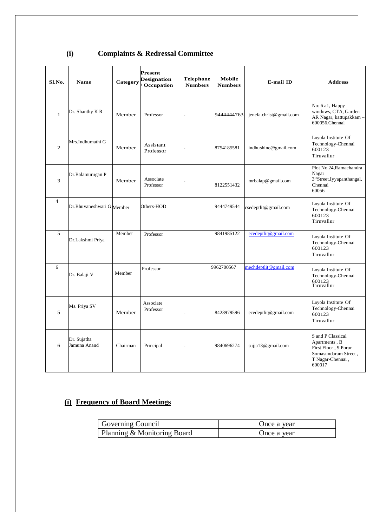| Sl.No.         | <b>Name</b>                 | Category | <b>Present</b><br><b>Designation</b><br>Occupation | <b>Telephone</b><br><b>Numbers</b> | Mobile<br><b>Numbers</b> | E-mail ID               | <b>Address</b>                                                                                                   |  |
|----------------|-----------------------------|----------|----------------------------------------------------|------------------------------------|--------------------------|-------------------------|------------------------------------------------------------------------------------------------------------------|--|
| $\mathbf{1}$   | Dr. Shanthy K R             | Member   | Professor                                          |                                    | 9444444763               | jenefa.christ@gmail.com | No: 6 a1, Happy<br>windows, CTA, Garden<br>AR Nagar, kattupakkam -<br>600056.Chennai                             |  |
| 2              | Mrs.Indhumathi G            | Member   | Assistant<br>Professor                             |                                    | 8754185581               | indhushine@gmail.com    | Loyola Institute Of<br>Technology-Chennai<br>600123<br>Tiruvallur                                                |  |
| 3              | Dr.Balamurugan P            | Member   | Associate<br>Professor                             |                                    | 8122551432               | mrbalap@gmail.com       | Plot No 24, Ramachandra<br>Nagar<br>3rdStreet, Iyyapanthangal,<br>Chennai<br>60056                               |  |
| $\overline{4}$ | Dr.Bhuvaneshwari G Member   |          | Others-HOD                                         |                                    | 9444749544               | csedeptlit@gmail.com    | Loyola Institute Of<br>Technology-Chennai<br>600123<br>Tiruvallur                                                |  |
| 5              | Dr.Lakshmi Priya            | Member   | Professor                                          |                                    | 9841985122               | ecedeptlit@gmail.com    | Loyola Institute Of<br>Technology-Chennai<br>600123<br>Tiruvallur                                                |  |
| 6              | Dr. Balaji V                | Member   | Professor                                          |                                    | 9962700567               | mechdeptlit@gmail.com   | Loyola Institute Of<br>Technology-Chennai<br>600123<br>Tiruvallur                                                |  |
| 5              | Ms. Priya SV                | Member   | Associate<br>Professor                             | ٠                                  | 8428979596               | ecedeptlit@gmail.com    | Loyola Institute Of<br>Technology-Chennai<br>600123<br>Tiruvallur                                                |  |
| 6              | Dr. Sujatha<br>Jamuna Anand | Chairman | Principal                                          | $\overline{\phantom{a}}$           | 9840696274               | sujja13@gmail.com       | S and P Classical<br>Apartments, B<br>First Floor, 9 Porur<br>Somasundaram Street.<br>T Nagar-Chennai,<br>600017 |  |

# **(i) Complaints & Redressal Committee**

# **(i) Frequency of Board Meetings**

| Governing Council           | Once a year |
|-----------------------------|-------------|
| Planning & Monitoring Board | Once a year |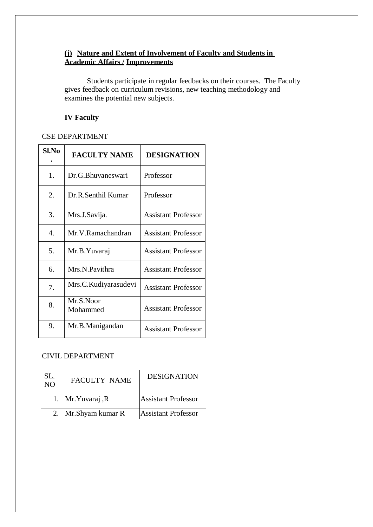### **(j) Nature and Extent of Involvement of Faculty and Students in Academic Affairs / Improvements**

Students participate in regular feedbacks on their courses. The Faculty gives feedback on curriculum revisions, new teaching methodology and examines the potential new subjects.

### **IV Faculty**

#### CSE DEPARTMENT

| Sl.No | <b>FACULTY NAME</b>   | <b>DESIGNATION</b>         |
|-------|-----------------------|----------------------------|
| 1.    | Dr.G.Bhuvaneswari     | Professor                  |
| 2.    | Dr.R.Senthil Kumar    | Professor                  |
| 3.    | Mrs.J.Savija.         | <b>Assistant Professor</b> |
| 4.    | Mr.V.Ramachandran     | <b>Assistant Professor</b> |
| 5.    | Mr.B.Yuvaraj          | <b>Assistant Professor</b> |
| 6.    | Mrs.N.Pavithra        | <b>Assistant Professor</b> |
| 7.    | Mrs.C. Kudiyarasudevi | <b>Assistant Professor</b> |
| 8.    | Mr.S.Noor<br>Mohammed | <b>Assistant Professor</b> |
| 9.    | Mr.B.Manigandan       | <b>Assistant Professor</b> |

#### CIVIL DEPARTMENT

| SL.<br>$\overline{NO}$ | <b>FACULTY NAME</b>  | <b>DESIGNATION</b>         |
|------------------------|----------------------|----------------------------|
|                        | 1. Mr. Yuvaraj, R    | <b>Assistant Professor</b> |
|                        | 2. Mr. Shyam kumar R | <b>Assistant Professor</b> |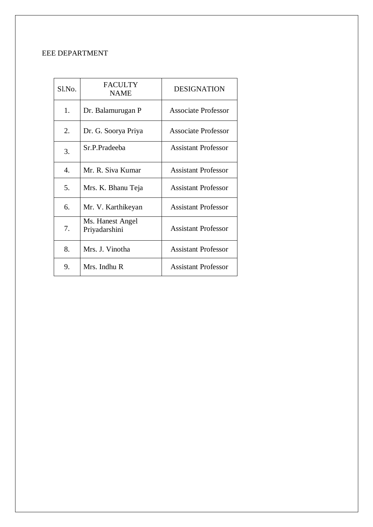## EEE DEPARTMENT

| Sl.No. | <b>FACULTY</b><br><b>NAME</b>     | <b>DESIGNATION</b>         |
|--------|-----------------------------------|----------------------------|
| 1.     | Dr. Balamurugan P                 | Associate Professor        |
| 2.     | Dr. G. Soorya Priya               | <b>Associate Professor</b> |
| 3.     | Sr.P.Pradeeba                     | Assistant Professor        |
| 4.     | Mr. R. Siva Kumar                 | Assistant Professor        |
| 5.     | Mrs. K. Bhanu Teja                | <b>Assistant Professor</b> |
| 6.     | Mr. V. Karthikeyan                | <b>Assistant Professor</b> |
| 7.     | Ms. Hanest Angel<br>Priyadarshini | <b>Assistant Professor</b> |
| 8.     | Mrs. J. Vinotha                   | <b>Assistant Professor</b> |
| 9.     | Mrs. Indhu R                      | Assistant Professor        |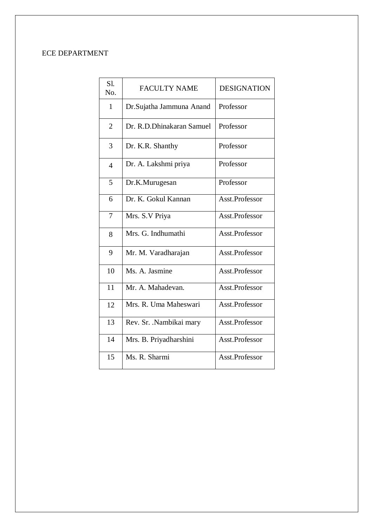## ECE DEPARTMENT

| $S1$ .<br>No.  | <b>FACULTY NAME</b>       | <b>DESIGNATION</b> |
|----------------|---------------------------|--------------------|
| 1              | Dr.Sujatha Jammuna Anand  | Professor          |
| $\overline{2}$ | Dr. R.D.Dhinakaran Samuel | Professor          |
| 3              | Dr. K.R. Shanthy          | Professor          |
| $\overline{4}$ | Dr. A. Lakshmi priya      | Professor          |
| 5              | Dr.K.Murugesan            | Professor          |
| 6              | Dr. K. Gokul Kannan       | Asst.Professor     |
| 7              | Mrs. S.V Priya            | Asst.Professor     |
| 8              | Mrs. G. Indhumathi        | Asst.Professor     |
| 9              | Mr. M. Varadharajan       | Asst.Professor     |
| 10             | Ms. A. Jasmine            | Asst.Professor     |
| 11             | Mr. A. Mahadevan.         | Asst.Professor     |
| 12             | Mrs. R. Uma Maheswari     | Asst.Professor     |
| 13             | Rev. Sr. . Nambikai mary  | Asst.Professor     |
| 14             | Mrs. B. Priyadharshini    | Asst.Professor     |
| 15             | Ms. R. Sharmi             | Asst.Professor     |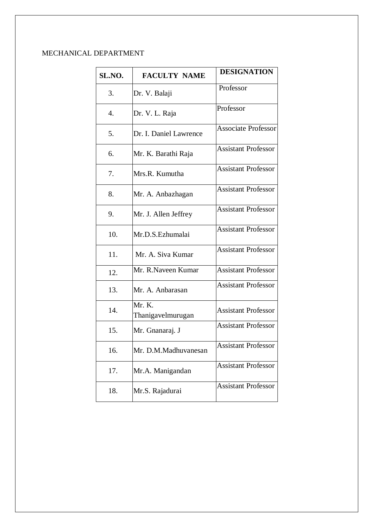## MECHANICAL DEPARTMENT

| SL.NO. | <b>FACULTY NAME</b>         | <b>DESIGNATION</b>         |
|--------|-----------------------------|----------------------------|
| 3.     | Dr. V. Balaji               | Professor                  |
| 4.     | Dr. V. L. Raja              | Professor                  |
| 5.     | Dr. I. Daniel Lawrence      | <b>Associate Professor</b> |
| 6.     | Mr. K. Barathi Raja         | Assistant Professor        |
| 7.     | Mrs.R. Kumutha              | <b>Assistant Professor</b> |
| 8.     | Mr. A. Anbazhagan           | <b>Assistant Professor</b> |
| 9.     | Mr. J. Allen Jeffrey        | <b>Assistant Professor</b> |
| 10.    | Mr.D.S.Ezhumalai            | <b>Assistant Professor</b> |
| 11.    | Mr. A. Siva Kumar           | <b>Assistant Professor</b> |
| 12.    | Mr. R.Naveen Kumar          | <b>Assistant Professor</b> |
| 13.    | Mr. A. Anbarasan            | <b>Assistant Professor</b> |
| 14.    | Mr. K.<br>Thanigavelmurugan | <b>Assistant Professor</b> |
| 15.    | Mr. Gnanaraj. J             | <b>Assistant Professor</b> |
| 16.    | Mr. D.M.Madhuvanesan        | <b>Assistant Professor</b> |
| 17.    | Mr.A. Manigandan            | <b>Assistant Professor</b> |
| 18.    | Mr.S. Rajadurai             | <b>Assistant Professor</b> |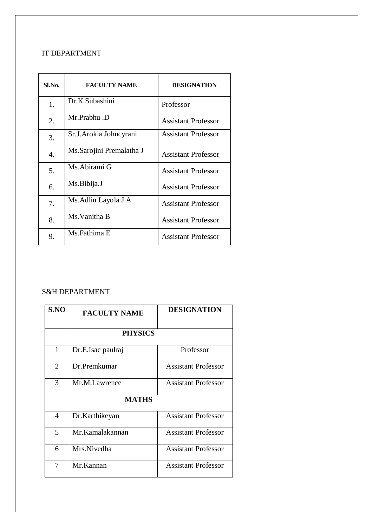## IT DEPARTMENT

| Sl.No.           | <b>FACULTY NAME</b>       | <b>DESIGNATION</b>         |
|------------------|---------------------------|----------------------------|
| 1.               | Dr.K.Subashini            | Professor                  |
| 2.               | Mr.Prabhu.D               | <b>Assistant Professor</b> |
| 3.               | Sr.J. Arokia Johneyrani   | <b>Assistant Professor</b> |
| $\overline{4}$ . | Ms. Sarojini Premalatha J | Assistant Professor        |
| 5.               | Ms. Abirami G             | <b>Assistant Professor</b> |
| 6.               | Ms.Bibija.J               | <b>Assistant Professor</b> |
| 7.               | Ms. Adlin Layola J. A     | <b>Assistant Professor</b> |
| 8.               | Ms. Vanitha B             | <b>Assistant Professor</b> |
| 9.               | Ms.Fathima E              | <b>Assistant Professor</b> |

## S&H DEPARTMENT

| S.NO           | <b>FACULTY NAME</b> | <b>DESIGNATION</b>         |  |  |  |
|----------------|---------------------|----------------------------|--|--|--|
|                | <b>PHYSICS</b>      |                            |  |  |  |
| 1              | Dr.E.Isac paulraj   | Professor                  |  |  |  |
| $\overline{2}$ | Dr. Premkumar       | <b>Assistant Professor</b> |  |  |  |
| 3              | Mr.M.Lawrence       | <b>Assistant Professor</b> |  |  |  |
|                | <b>MATHS</b>        |                            |  |  |  |
| 4              | Dr.Karthikeyan      | <b>Assistant Professor</b> |  |  |  |
| 5              | Mr. Kamalakannan    | <b>Assistant Professor</b> |  |  |  |
| 6              | Mrs.Nivedha         | <b>Assistant Professor</b> |  |  |  |
| 7              | Mr.Kannan           | <b>Assistant Professor</b> |  |  |  |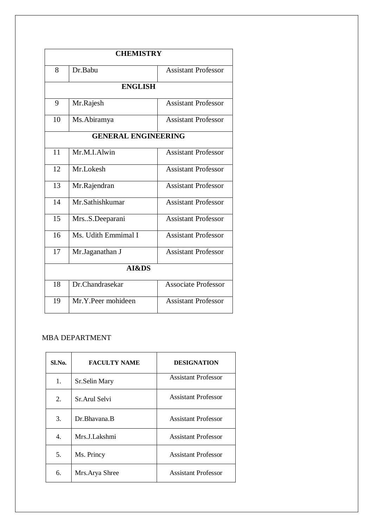| <b>CHEMISTRY</b> |                            |                            |  |  |
|------------------|----------------------------|----------------------------|--|--|
| 8                | Dr.Babu                    | <b>Assistant Professor</b> |  |  |
| <b>ENGLISH</b>   |                            |                            |  |  |
| 9                | Mr.Rajesh                  | <b>Assistant Professor</b> |  |  |
| 10               | Ms. Abiramya               | <b>Assistant Professor</b> |  |  |
|                  | <b>GENERAL ENGINEERING</b> |                            |  |  |
| 11               | Mr.M.I.Alwin               | <b>Assistant Professor</b> |  |  |
| 12               | Mr.Lokesh                  | <b>Assistant Professor</b> |  |  |
| 13               | Mr.Rajendran               | <b>Assistant Professor</b> |  |  |
| 14               | Mr.Sathishkumar            | <b>Assistant Professor</b> |  |  |
| 15               | MrsS.Deeparani             | <b>Assistant Professor</b> |  |  |
| 16               | Ms. Udith Emmimal I        | <b>Assistant Professor</b> |  |  |
| 17               | Mr.Jaganathan J            | <b>Assistant Professor</b> |  |  |
|                  | AI&DS                      |                            |  |  |
| 18               | Dr.Chandrasekar            | <b>Associate Professor</b> |  |  |
| 19               | Mr.Y.Peer mohideen         | <b>Assistant Professor</b> |  |  |

#### MBA DEPARTMENT

| Sl.No.           | <b>FACULTY NAME</b> | <b>DESIGNATION</b>         |
|------------------|---------------------|----------------------------|
| 1.               | Sr.Selin Mary       | <b>Assistant Professor</b> |
| $\overline{2}$ . | Sr. Arul Selvi      | <b>Assistant Professor</b> |
| 3.               | Dr. Bhayana, B      | <b>Assistant Professor</b> |
| 4.               | Mrs.J.Lakshmi       | <b>Assistant Professor</b> |
| 5.               | Ms. Princy          | <b>Assistant Professor</b> |
| 6.               | Mrs. Arya Shree     | <b>Assistant Professor</b> |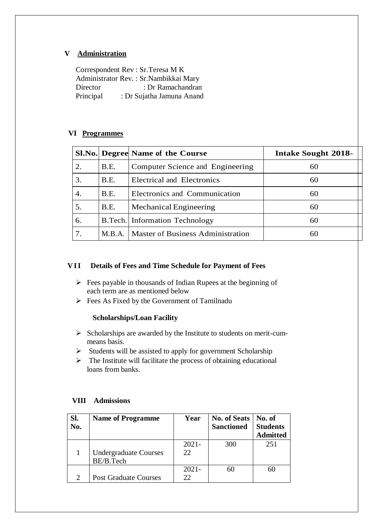#### **V Administration**

Correspondent Rev : Sr.Teresa M K Administrator Rev. : Sr.Nambikkai Mary Director : Dr Ramachandran Principal : Dr Sujatha Jamuna Anand

#### **VI Programmes**

|    |        | Sl.No. Degree Name of the Course         | <b>Intake Sought 2018-</b> |  |
|----|--------|------------------------------------------|----------------------------|--|
| 2. | B.E.   | Computer Science and Engineering         | 60                         |  |
| 3. | B.E.   | Electrical and Electronics               | 60                         |  |
| 4. | B.E.   | Electronics and Communication            | 60                         |  |
| 5. | B.E.   | Mechanical Engineering                   | 60                         |  |
| 6. |        | <b>B.Tech.</b> Information Technology    | 60                         |  |
|    | M.B.A. | <b>Master of Business Administration</b> | 60                         |  |

#### **VII Details of Fees and Time Schedule for Payment of Fees**

- $\triangleright$  Fees payable in thousands of Indian Rupees at the beginning of each term are as mentioned below
- $\triangleright$  Fees As Fixed by the Government of Tamilnadu

#### **Scholarships/Loan Facility**

- $\triangleright$  Scholarships are awarded by the Institute to students on merit-cummeans basis.
- $\triangleright$  Students will be assisted to apply for government Scholarship
- $\triangleright$  The Institute will facilitate the process of obtaining educational loans from banks.

| Sl.<br>No. | <b>Name of Programme</b>     | Year     | <b>No. of Seats</b><br><b>Sanctioned</b> | $\blacksquare$ No. of<br><b>Students</b> |
|------------|------------------------------|----------|------------------------------------------|------------------------------------------|
|            |                              |          |                                          | <b>Admitted</b>                          |
|            |                              | $2021 -$ | 300                                      | 251                                      |
|            | <b>Undergraduate Courses</b> | 22       |                                          |                                          |
|            | BE/B.Tech                    |          |                                          |                                          |
|            |                              | $2021 -$ | 60                                       | 60                                       |
|            | <b>Post Graduate Courses</b> | 22       |                                          |                                          |

#### **VIII Admissions**